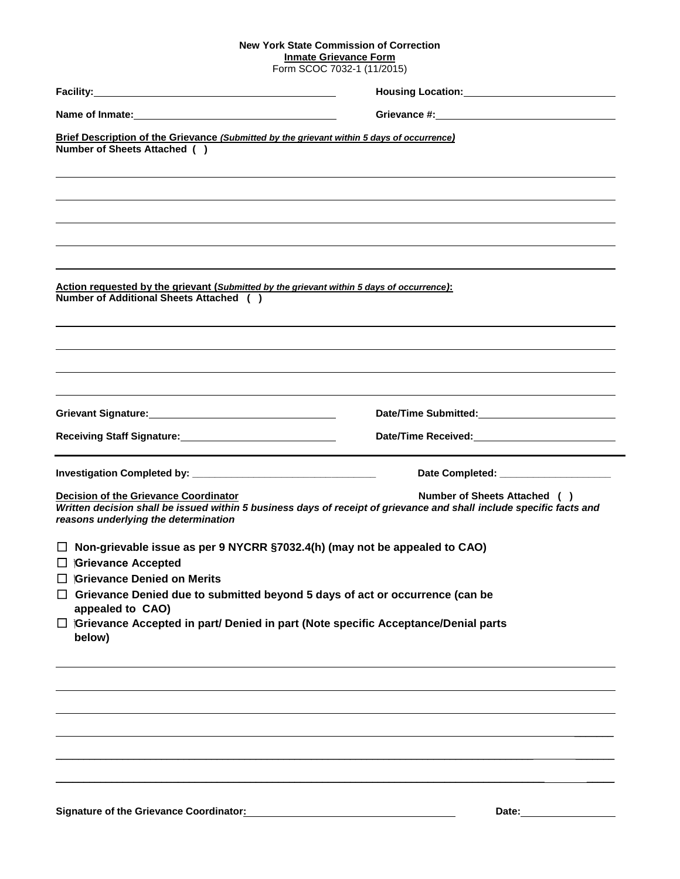## **New York State Commission of Correction**

**Inmate Grievance Form** Form SCOC 7032-1 (11/2015)

| Brief Description of the Grievance (Submitted by the grievant within 5 days of occurrence)<br>Number of Sheets Attached ()                   |                                                                                                                                                       |  |
|----------------------------------------------------------------------------------------------------------------------------------------------|-------------------------------------------------------------------------------------------------------------------------------------------------------|--|
| <u>Action requested by the grievant (Submitted by the grievant within 5 days of occurrence):</u><br>Number of Additional Sheets Attached ( ) | ,我们也不会有什么?""我们的人,我们也不会有什么?""我们的人,我们也不会有什么?""我们的人,我们也不会有什么?""我们的人,我们也不会有什么?""我们的人                                                                      |  |
| Grievant Signature: Manual Communication of Scievant Signature:                                                                              |                                                                                                                                                       |  |
| Receiving Staff Signature: Management Control of Receiving Staff Signature:                                                                  |                                                                                                                                                       |  |
|                                                                                                                                              | Date Completed: _____________________                                                                                                                 |  |
| <b>Decision of the Grievance Coordinator</b><br>reasons underlying the determination                                                         | Number of Sheets Attached ( )<br>Written decision shall be issued within 5 business days of receipt of grievance and shall include specific facts and |  |
| Non-grievable issue as per 9 NYCRR §7032.4(h) (may not be appealed to CAO)<br>$\Box$ <b>iGrievance Accepted</b>                              |                                                                                                                                                       |  |
|                                                                                                                                              |                                                                                                                                                       |  |
| <b>Grievance Denied on Merits</b><br>Grievance Denied due to submitted beyond 5 days of act or occurrence (can be                            |                                                                                                                                                       |  |

Signature of the Grievance Coordinator: **Material Properties Access 2014** Date: Date: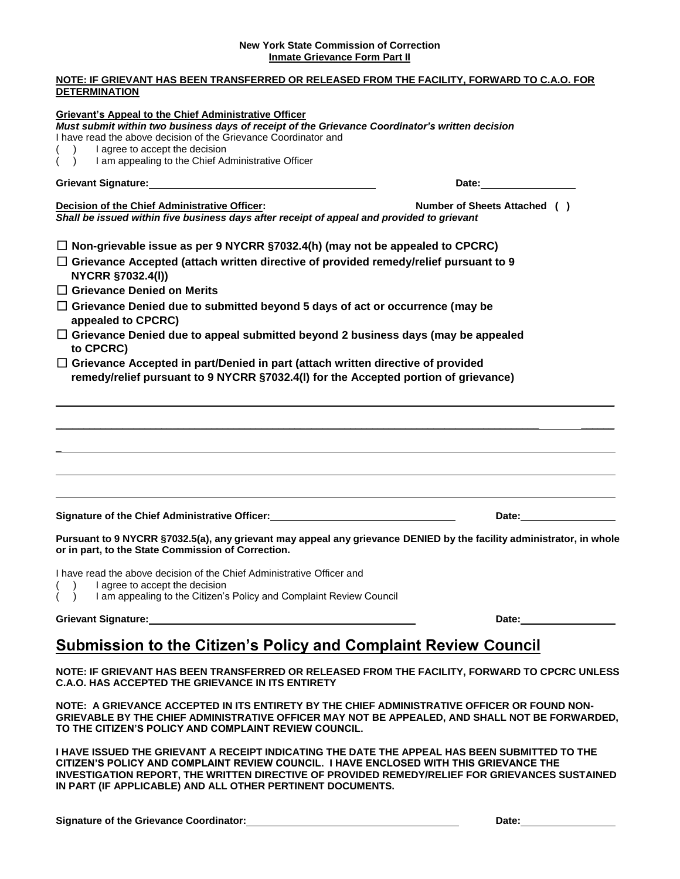## **New York State Commission of Correction Inmate Grievance Form Part II**

## **NOTE: IF GRIEVANT HAS BEEN TRANSFERRED OR RELEASED FROM THE FACILITY, FORWARD TO C.A.O. FOR DETERMINATION**

| <b>Grievant's Appeal to the Chief Administrative Officer</b><br>Must submit within two business days of receipt of the Grievance Coordinator's written decision                                                                                         |                                                                                                                                                                                                                                |
|---------------------------------------------------------------------------------------------------------------------------------------------------------------------------------------------------------------------------------------------------------|--------------------------------------------------------------------------------------------------------------------------------------------------------------------------------------------------------------------------------|
| I have read the above decision of the Grievance Coordinator and                                                                                                                                                                                         |                                                                                                                                                                                                                                |
| I agree to accept the decision<br>I am appealing to the Chief Administrative Officer<br>$\sqrt{2}$                                                                                                                                                      |                                                                                                                                                                                                                                |
|                                                                                                                                                                                                                                                         |                                                                                                                                                                                                                                |
| Grievant Signature: Management of the Contract of the Contract of the Contract of the Contract of the Contract of the Contract of the Contract of the Contract of the Contract of the Contract of the Contract of the Contract                          | Date: the contract of the contract of the contract of the contract of the contract of the contract of the contract of the contract of the contract of the contract of the contract of the contract of the contract of the cont |
| Decision of the Chief Administrative Officer:<br>Shall be issued within five business days after receipt of appeal and provided to grievant                                                                                                             | Number of Sheets Attached ()                                                                                                                                                                                                   |
| $\Box$ Non-grievable issue as per 9 NYCRR §7032.4(h) (may not be appealed to CPCRC)                                                                                                                                                                     |                                                                                                                                                                                                                                |
| $\Box$ Grievance Accepted (attach written directive of provided remedy/relief pursuant to 9<br><b>NYCRR §7032.4(I))</b>                                                                                                                                 |                                                                                                                                                                                                                                |
| $\Box$ Grievance Denied on Merits                                                                                                                                                                                                                       |                                                                                                                                                                                                                                |
| $\Box$ Grievance Denied due to submitted beyond 5 days of act or occurrence (may be<br>appealed to CPCRC)                                                                                                                                               |                                                                                                                                                                                                                                |
| $\Box$ Grievance Denied due to appeal submitted beyond 2 business days (may be appealed<br>to CPCRC)                                                                                                                                                    |                                                                                                                                                                                                                                |
| $\Box$ Grievance Accepted in part/Denied in part (attach written directive of provided<br>remedy/relief pursuant to 9 NYCRR §7032.4(I) for the Accepted portion of grievance)                                                                           |                                                                                                                                                                                                                                |
|                                                                                                                                                                                                                                                         |                                                                                                                                                                                                                                |
|                                                                                                                                                                                                                                                         |                                                                                                                                                                                                                                |
| Signature of the Chief Administrative Officer: National Community Control of the Chief Administrative Officer:                                                                                                                                          | Date:__________________                                                                                                                                                                                                        |
| Pursuant to 9 NYCRR §7032.5(a), any grievant may appeal any grievance DENIED by the facility administrator, in whole<br>or in part, to the State Commission of Correction.                                                                              |                                                                                                                                                                                                                                |
| I have read the above decision of the Chief Administrative Officer and<br>I agree to accept the decision                                                                                                                                                |                                                                                                                                                                                                                                |
| I am appealing to the Citizen's Policy and Complaint Review Council                                                                                                                                                                                     |                                                                                                                                                                                                                                |
| <b>Grievant Signature:</b>                                                                                                                                                                                                                              | Date: the contract of the contract of the contract of the contract of the contract of the contract of the contract of the contract of the contract of the contract of the contract of the contract of the contract of the cont |
| <b>Submission to the Citizen's Policy and Complaint Review Council</b>                                                                                                                                                                                  |                                                                                                                                                                                                                                |
| NOTE: IF GRIEVANT HAS BEEN TRANSFERRED OR RELEASED FROM THE FACILITY, FORWARD TO CPCRC UNLESS<br>C.A.O. HAS ACCEPTED THE GRIEVANCE IN ITS ENTIRETY                                                                                                      |                                                                                                                                                                                                                                |
| NOTE: A GRIEVANCE ACCEPTED IN ITS ENTIRETY BY THE CHIEF ADMINISTRATIVE OFFICER OR FOUND NON-<br>GRIEVABLE BY THE CHIEF ADMINISTRATIVE OFFICER MAY NOT BE APPEALED, AND SHALL NOT BE FORWARDED,<br>TO THE CITIZEN'S POLICY AND COMPLAINT REVIEW COUNCIL. |                                                                                                                                                                                                                                |

**I HAVE ISSUED THE GRIEVANT A RECEIPT INDICATING THE DATE THE APPEAL HAS BEEN SUBMITTED TO THE CITIZEN'S POLICY AND COMPLAINT REVIEW COUNCIL. I HAVE ENCLOSED WITH THIS GRIEVANCE THE INVESTIGATION REPORT, THE WRITTEN DIRECTIVE OF PROVIDED REMEDY/RELIEF FOR GRIEVANCES SUSTAINED IN PART (IF APPLICABLE) AND ALL OTHER PERTINENT DOCUMENTS.**

**Signature of the Grievance Coordinator: Date:**